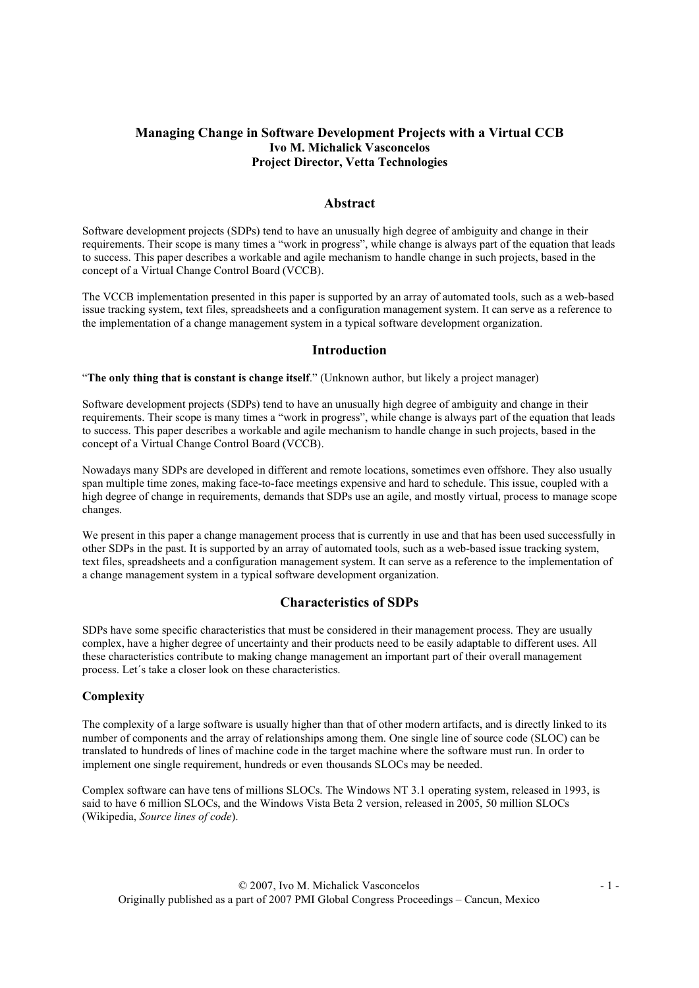# Managing Change in Software Development Projects with a Virtual CCB Ivo M. Michalick Vasconcelos Project Director, Vetta Technologies

#### Abstract

Software development projects (SDPs) tend to have an unusually high degree of ambiguity and change in their requirements. Their scope is many times a "work in progress", while change is always part of the equation that leads to success. This paper describes a workable and agile mechanism to handle change in such projects, based in the concept of a Virtual Change Control Board (VCCB).

The VCCB implementation presented in this paper is supported by an array of automated tools, such as a web-based issue tracking system, text files, spreadsheets and a configuration management system. It can serve as a reference to the implementation of a change management system in a typical software development organization.

### Introduction

"The only thing that is constant is change itself." (Unknown author, but likely a project manager)

Software development projects (SDPs) tend to have an unusually high degree of ambiguity and change in their requirements. Their scope is many times a "work in progress", while change is always part of the equation that leads to success. This paper describes a workable and agile mechanism to handle change in such projects, based in the concept of a Virtual Change Control Board (VCCB).

Nowadays many SDPs are developed in different and remote locations, sometimes even offshore. They also usually span multiple time zones, making face-to-face meetings expensive and hard to schedule. This issue, coupled with a high degree of change in requirements, demands that SDPs use an agile, and mostly virtual, process to manage scope changes.

We present in this paper a change management process that is currently in use and that has been used successfully in other SDPs in the past. It is supported by an array of automated tools, such as a web-based issue tracking system, text files, spreadsheets and a configuration management system. It can serve as a reference to the implementation of a change management system in a typical software development organization.

### Characteristics of SDPs

SDPs have some specific characteristics that must be considered in their management process. They are usually complex, have a higher degree of uncertainty and their products need to be easily adaptable to different uses. All these characteristics contribute to making change management an important part of their overall management process. Let´s take a closer look on these characteristics.

#### **Complexity**

The complexity of a large software is usually higher than that of other modern artifacts, and is directly linked to its number of components and the array of relationships among them. One single line of source code (SLOC) can be translated to hundreds of lines of machine code in the target machine where the software must run. In order to implement one single requirement, hundreds or even thousands SLOCs may be needed.

Complex software can have tens of millions SLOCs. The Windows NT 3.1 operating system, released in 1993, is said to have 6 million SLOCs, and the Windows Vista Beta 2 version, released in 2005, 50 million SLOCs (Wikipedia, Source lines of code).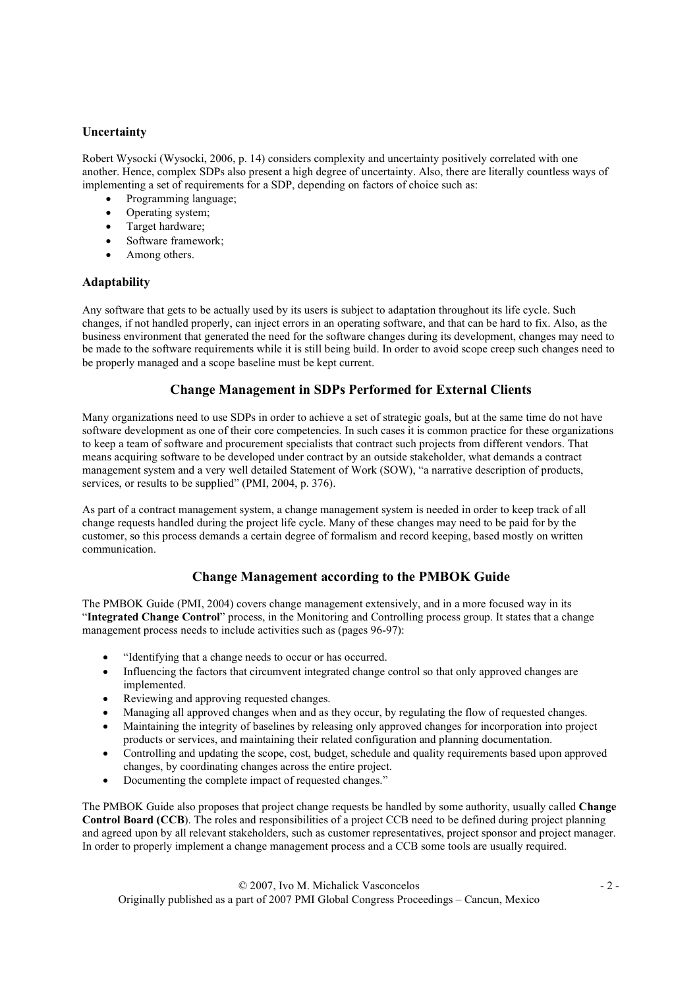# **Uncertainty**

Robert Wysocki (Wysocki, 2006, p. 14) considers complexity and uncertainty positively correlated with one another. Hence, complex SDPs also present a high degree of uncertainty. Also, there are literally countless ways of implementing a set of requirements for a SDP, depending on factors of choice such as:

- Programming language;
- Operating system;
- Target hardware;
- Software framework;
- Among others.

## Adaptability

Any software that gets to be actually used by its users is subject to adaptation throughout its life cycle. Such changes, if not handled properly, can inject errors in an operating software, and that can be hard to fix. Also, as the business environment that generated the need for the software changes during its development, changes may need to be made to the software requirements while it is still being build. In order to avoid scope creep such changes need to be properly managed and a scope baseline must be kept current.

# Change Management in SDPs Performed for External Clients

Many organizations need to use SDPs in order to achieve a set of strategic goals, but at the same time do not have software development as one of their core competencies. In such cases it is common practice for these organizations to keep a team of software and procurement specialists that contract such projects from different vendors. That means acquiring software to be developed under contract by an outside stakeholder, what demands a contract management system and a very well detailed Statement of Work (SOW), "a narrative description of products, services, or results to be supplied" (PMI, 2004, p. 376).

As part of a contract management system, a change management system is needed in order to keep track of all change requests handled during the project life cycle. Many of these changes may need to be paid for by the customer, so this process demands a certain degree of formalism and record keeping, based mostly on written communication.

# Change Management according to the PMBOK Guide

The PMBOK Guide (PMI, 2004) covers change management extensively, and in a more focused way in its "Integrated Change Control" process, in the Monitoring and Controlling process group. It states that a change management process needs to include activities such as (pages 96-97):

- "Identifying that a change needs to occur or has occurred.
- Influencing the factors that circumvent integrated change control so that only approved changes are implemented.
- Reviewing and approving requested changes.
- Managing all approved changes when and as they occur, by regulating the flow of requested changes.
- Maintaining the integrity of baselines by releasing only approved changes for incorporation into project products or services, and maintaining their related configuration and planning documentation.
- Controlling and updating the scope, cost, budget, schedule and quality requirements based upon approved changes, by coordinating changes across the entire project.
- Documenting the complete impact of requested changes."

The PMBOK Guide also proposes that project change requests be handled by some authority, usually called Change Control Board (CCB). The roles and responsibilities of a project CCB need to be defined during project planning and agreed upon by all relevant stakeholders, such as customer representatives, project sponsor and project manager. In order to properly implement a change management process and a CCB some tools are usually required.

 © 2007, Ivo M. Michalick Vasconcelos - 2 - Originally published as a part of 2007 PMI Global Congress Proceedings – Cancun, Mexico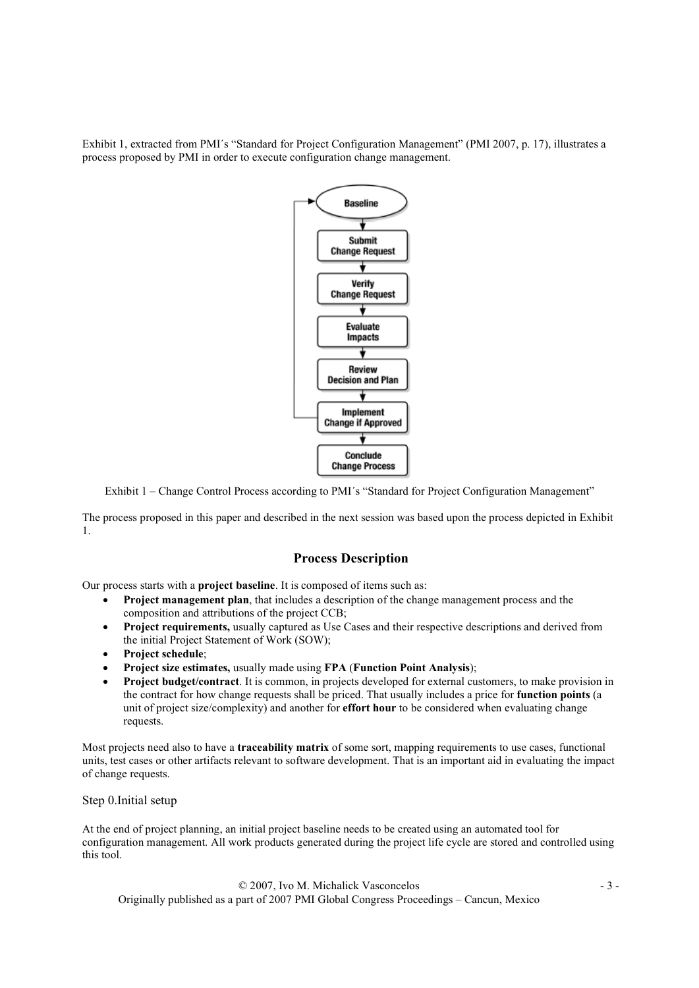Exhibit 1, extracted from PMI´s "Standard for Project Configuration Management" (PMI 2007, p. 17), illustrates a process proposed by PMI in order to execute configuration change management.



Exhibit 1 – Change Control Process according to PMI´s "Standard for Project Configuration Management"

The process proposed in this paper and described in the next session was based upon the process depicted in Exhibit 1.

### Process Description

Our process starts with a project baseline. It is composed of items such as:

- Project management plan, that includes a description of the change management process and the composition and attributions of the project CCB;
- Project requirements, usually captured as Use Cases and their respective descriptions and derived from the initial Project Statement of Work (SOW);
- Project schedule;
- Project size estimates, usually made using FPA (Function Point Analysis);
- Project budget/contract. It is common, in projects developed for external customers, to make provision in the contract for how change requests shall be priced. That usually includes a price for function points (a unit of project size/complexity) and another for **effort hour** to be considered when evaluating change requests.

Most projects need also to have a **traceability matrix** of some sort, mapping requirements to use cases, functional units, test cases or other artifacts relevant to software development. That is an important aid in evaluating the impact of change requests.

#### Step 0.Initial setup

At the end of project planning, an initial project baseline needs to be created using an automated tool for configuration management. All work products generated during the project life cycle are stored and controlled using this tool.

 © 2007, Ivo M. Michalick Vasconcelos - 3 - Originally published as a part of 2007 PMI Global Congress Proceedings – Cancun, Mexico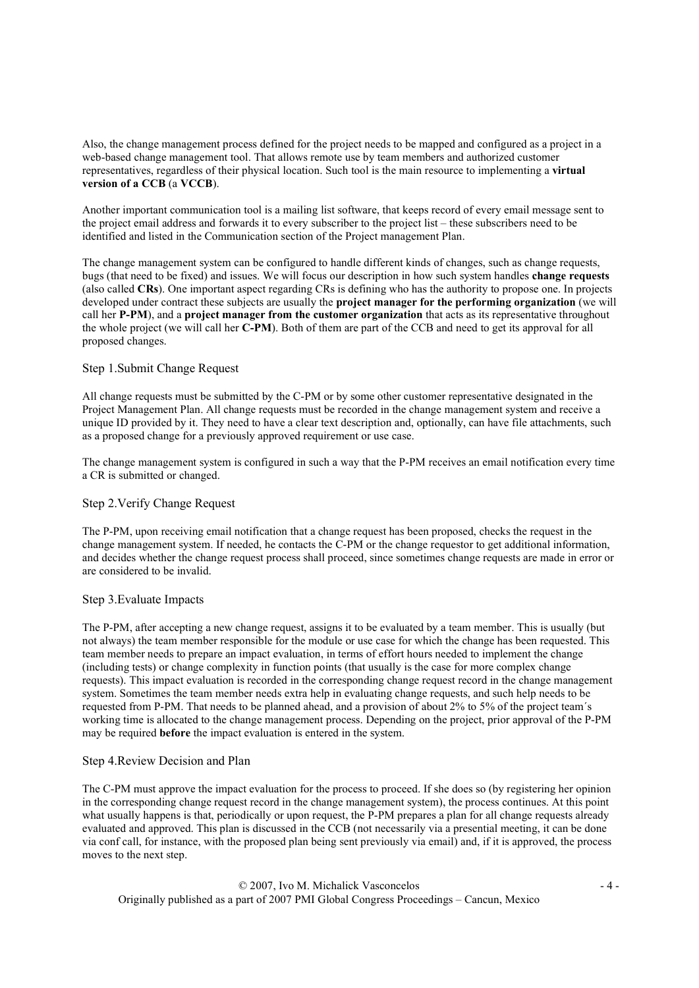Also, the change management process defined for the project needs to be mapped and configured as a project in a web-based change management tool. That allows remote use by team members and authorized customer representatives, regardless of their physical location. Such tool is the main resource to implementing a virtual version of a CCB (a VCCB).

Another important communication tool is a mailing list software, that keeps record of every email message sent to the project email address and forwards it to every subscriber to the project list – these subscribers need to be identified and listed in the Communication section of the Project management Plan.

The change management system can be configured to handle different kinds of changes, such as change requests, bugs (that need to be fixed) and issues. We will focus our description in how such system handles change requests (also called CRs). One important aspect regarding CRs is defining who has the authority to propose one. In projects developed under contract these subjects are usually the project manager for the performing organization (we will call her P-PM), and a project manager from the customer organization that acts as its representative throughout the whole project (we will call her C-PM). Both of them are part of the CCB and need to get its approval for all proposed changes.

#### Step 1.Submit Change Request

All change requests must be submitted by the C-PM or by some other customer representative designated in the Project Management Plan. All change requests must be recorded in the change management system and receive a unique ID provided by it. They need to have a clear text description and, optionally, can have file attachments, such as a proposed change for a previously approved requirement or use case.

The change management system is configured in such a way that the P-PM receives an email notification every time a CR is submitted or changed.

#### Step 2.Verify Change Request

The P-PM, upon receiving email notification that a change request has been proposed, checks the request in the change management system. If needed, he contacts the C-PM or the change requestor to get additional information, and decides whether the change request process shall proceed, since sometimes change requests are made in error or are considered to be invalid.

#### Step 3.Evaluate Impacts

The P-PM, after accepting a new change request, assigns it to be evaluated by a team member. This is usually (but not always) the team member responsible for the module or use case for which the change has been requested. This team member needs to prepare an impact evaluation, in terms of effort hours needed to implement the change (including tests) or change complexity in function points (that usually is the case for more complex change requests). This impact evaluation is recorded in the corresponding change request record in the change management system. Sometimes the team member needs extra help in evaluating change requests, and such help needs to be requested from P-PM. That needs to be planned ahead, and a provision of about 2% to 5% of the project team´s working time is allocated to the change management process. Depending on the project, prior approval of the P-PM may be required before the impact evaluation is entered in the system.

### Step 4.Review Decision and Plan

The C-PM must approve the impact evaluation for the process to proceed. If she does so (by registering her opinion in the corresponding change request record in the change management system), the process continues. At this point what usually happens is that, periodically or upon request, the P-PM prepares a plan for all change requests already evaluated and approved. This plan is discussed in the CCB (not necessarily via a presential meeting, it can be done via conf call, for instance, with the proposed plan being sent previously via email) and, if it is approved, the process moves to the next step.

 © 2007, Ivo M. Michalick Vasconcelos - 4 - Originally published as a part of 2007 PMI Global Congress Proceedings – Cancun, Mexico